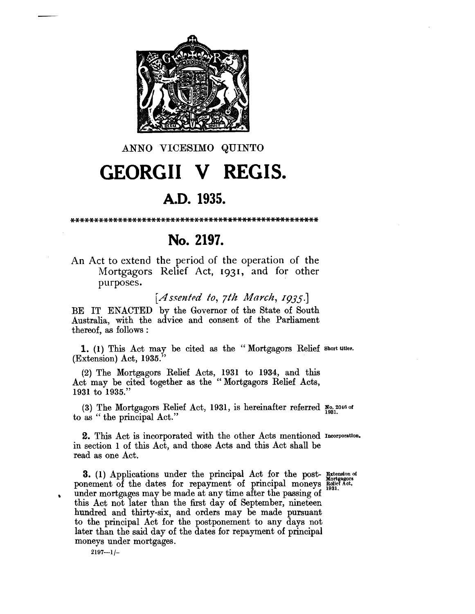

### ANNO VICESIMO QUINTO

# **GEORGII V REGIS.**

#### A.D. 1935.

## No. 2197.

An Act to extend the period of the operation of the Mortgagors Relief Act, 1931, and for other purposes.

[Assented to, 7th March, 1935.]

BE IT ENACTED by the Governor of the State of South Australia, with the advice and consent of the Parliament thereof, as follows:

1. (1) This Act may be cited as the "Mortgagors Relief short titles.  $(Extension)$  Act, 1935.

(2) The Mortgagors Relief Acts, 1931 to 1934, and this Act may be cited together as the "Mortgagors Relief Acts, 1931 to 1935."

(3) The Mortgagors Relief Act, 1931, is hereinafter referred  $\mathbb{R}^{0.2046 \text{ of}}$ to as "the principal Act."

2. This Act is incorporated with the other Acts mentioned Incorporation. in section 1 of this Act, and those Acts and this Act shall be read as one Act.

3. (1) Applications under the principal Act for the post-Batension of ponement of the dates for repayment of principal moneys Redict Act, under mortgages may be made at any time after the passing of this Act not later than the first day of September, nineteen hundred and thirty-six, and orders may be made pursuant to the principal Act for the postponement to any days not later than the said day of the dates for repayment of principal moneys under mortgages.

 $2197 - 1/-$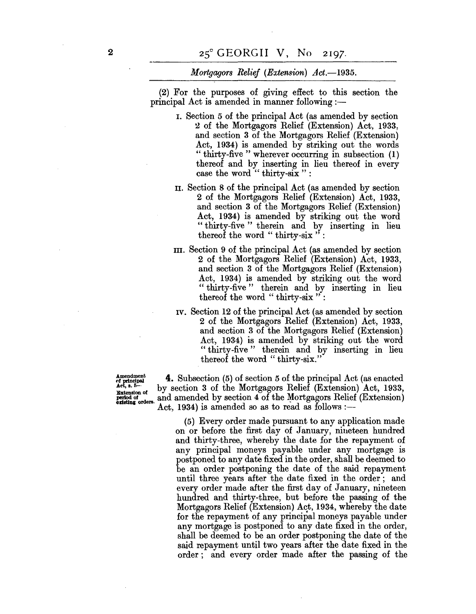*Mortgagors Relief (Extension) Act.-1935.* 

(2) For the purposes of giving effect to this section the principal Act is amended in manner following :-

- I. Section 5 of the principal Act (as amended by section 2 of the Mortgagors Relief (Extension) Act, 1933, and section 3 of the Mortgagors Relief (Extension) Act, 1934) is amended by striking out the words "thirty-five" wherever occurring in subsection (1) thereof and by inserting in lieu thereof in every case the word "thirty-six":
- II. Section 8 of the principal Act (as amended by section 2 of the Mortgagors Relief (Extension) Act, 1933, and section 3 of the Mortgagors Relief (Extension) Act, 1934) is amended by striking out the word "thirty-five" therein and by inserting in lieu thereof the word " thirty-six":
- III. Section 9 of the principal Act (as amended by section 2 of the Mortgagors Relief (Extension) Act, 1933, and section 3 of the Mortgagors Relief (Extension) Act, 1934) is amended by striking out the word " thirty-five" therein and by inserting in lieu thereof the word " thirty-six" :
- IV. Section 12 of the principal Act (as amended by section 2 of the Mortgagors Relief (Extension) Act, 1933, and section 3 of the Mortgagors Relief (Extension) Act, 1934) is amended by striking out the word "thirty-five" therein and by inserting in lieu thereof the word " thirty-six."

 $\mathbf{A}_{\text{ref}}^{\text{independent}}$  **4.** Subsection (5) of section 5 of the principal Act (as enacted act,  $\mathbf{B}_{\text{ref}}$ ,  $\mathbf{B}_{\text{ref}}$ ,  $\mathbf{B}_{\text{ref}}$ ,  $\mathbf{B}_{\text{ref}}$ ,  $\mathbf{B}_{\text{ref}}$ ,  $\mathbf{B}_{\text{ref}}$ ,  $\mathbf{B}_{\text{ref}}$ ,  $\mathbf{B}_{\text{ref}}$  (Extension Act, a. 5-<br> **Extension of**<br> **Extension** of<br> **Extension** of<br> **Extension** of<br> **Act, 1934** is amended so as to read as follows :—<br>  $\frac{1}{2}$ and amended by section 4 of the Mortgagors Relief (Extension)  $Act, 1934$ ) is amended so as to read as follows :--

> (5) Every order made pursuant to any application made on or before the first day of January, nineteen hundred and thirty-three, whereby the date for the repayment of any principal moneys payable under any mortgage is postponed to any date fixed in the order, shall be deemed to be an order postponing the date of the said repayment until three years after the date fixed in the order; and every order made after the first day of January, nineteen hundred and thirty-three, but before the passing of the Mortgagors Relief (Extension) Act, 1934, whereby the date for the repayment of any principal moneys payable under any mortgage is postponed to any date fixed in the order, shall be deemed to be an order postponing the date of the said repayment until two years after the date fixed in the order; and every order made after the passing of the